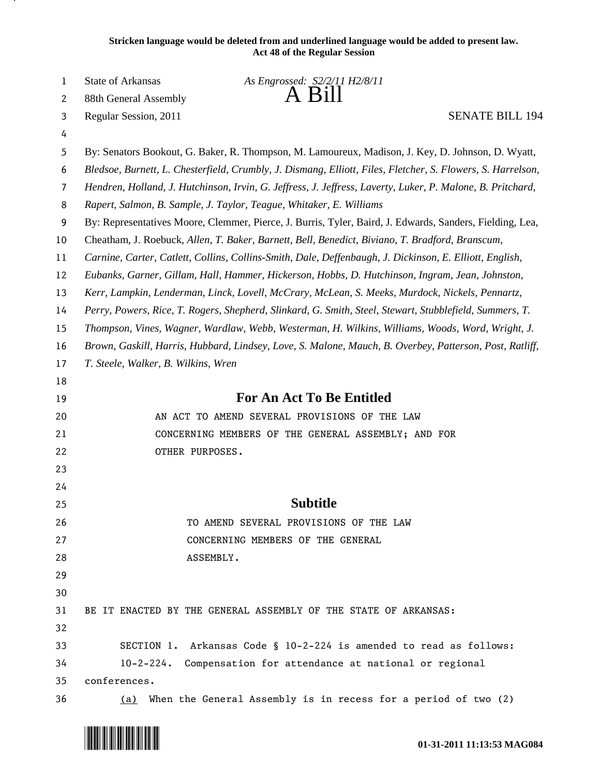| Stricken language would be deleted from and underlined language would be added to present law. |
|------------------------------------------------------------------------------------------------|
| <b>Act 48 of the Regular Session</b>                                                           |

| 1  | State of Arkansas                                                                                           | As Engrossed: S2/2/11 H2/8/11                                                                     |  |  |
|----|-------------------------------------------------------------------------------------------------------------|---------------------------------------------------------------------------------------------------|--|--|
| 2  | 88th General Assembly                                                                                       | A Bill                                                                                            |  |  |
| 3  | Regular Session, 2011                                                                                       | <b>SENATE BILL 194</b>                                                                            |  |  |
| 4  |                                                                                                             |                                                                                                   |  |  |
| 5  |                                                                                                             | By: Senators Bookout, G. Baker, R. Thompson, M. Lamoureux, Madison, J. Key, D. Johnson, D. Wyatt, |  |  |
| 6  | Bledsoe, Burnett, L. Chesterfield, Crumbly, J. Dismang, Elliott, Files, Fletcher, S. Flowers, S. Harrelson, |                                                                                                   |  |  |
| 7  | Hendren, Holland, J. Hutchinson, Irvin, G. Jeffress, J. Jeffress, Laverty, Luker, P. Malone, B. Pritchard,  |                                                                                                   |  |  |
| 8  | Rapert, Salmon, B. Sample, J. Taylor, Teague, Whitaker, E. Williams                                         |                                                                                                   |  |  |
| 9  | By: Representatives Moore, Clemmer, Pierce, J. Burris, Tyler, Baird, J. Edwards, Sanders, Fielding, Lea,    |                                                                                                   |  |  |
| 10 | Cheatham, J. Roebuck, Allen, T. Baker, Barnett, Bell, Benedict, Biviano, T. Bradford, Branscum,             |                                                                                                   |  |  |
| 11 | Carnine, Carter, Catlett, Collins, Collins-Smith, Dale, Deffenbaugh, J. Dickinson, E. Elliott, English,     |                                                                                                   |  |  |
| 12 | Eubanks, Garner, Gillam, Hall, Hammer, Hickerson, Hobbs, D. Hutchinson, Ingram, Jean, Johnston,             |                                                                                                   |  |  |
| 13 | Kerr, Lampkin, Lenderman, Linck, Lovell, McCrary, McLean, S. Meeks, Murdock, Nickels, Pennartz,             |                                                                                                   |  |  |
| 14 | Perry, Powers, Rice, T. Rogers, Shepherd, Slinkard, G. Smith, Steel, Stewart, Stubblefield, Summers, T.     |                                                                                                   |  |  |
| 15 | Thompson, Vines, Wagner, Wardlaw, Webb, Westerman, H. Wilkins, Williams, Woods, Word, Wright, J.            |                                                                                                   |  |  |
| 16 | Brown, Gaskill, Harris, Hubbard, Lindsey, Love, S. Malone, Mauch, B. Overbey, Patterson, Post, Ratliff,     |                                                                                                   |  |  |
| 17 | T. Steele, Walker, B. Wilkins, Wren                                                                         |                                                                                                   |  |  |
| 18 |                                                                                                             |                                                                                                   |  |  |
| 19 |                                                                                                             | <b>For An Act To Be Entitled</b>                                                                  |  |  |
| 20 |                                                                                                             | AN ACT TO AMEND SEVERAL PROVISIONS OF THE LAW                                                     |  |  |
| 21 | CONCERNING MEMBERS OF THE GENERAL ASSEMBLY; AND FOR                                                         |                                                                                                   |  |  |
| 22 | OTHER PURPOSES.                                                                                             |                                                                                                   |  |  |
| 23 |                                                                                                             |                                                                                                   |  |  |
| 24 |                                                                                                             |                                                                                                   |  |  |
| 25 |                                                                                                             | <b>Subtitle</b>                                                                                   |  |  |
| 26 |                                                                                                             | TO AMEND SEVERAL PROVISIONS OF THE LAW                                                            |  |  |
| 27 |                                                                                                             | CONCERNING MEMBERS OF THE GENERAL                                                                 |  |  |
| 28 | ASSEMBLY.                                                                                                   |                                                                                                   |  |  |
| 29 |                                                                                                             |                                                                                                   |  |  |
| 30 |                                                                                                             |                                                                                                   |  |  |
| 31 |                                                                                                             | BE IT ENACTED BY THE GENERAL ASSEMBLY OF THE STATE OF ARKANSAS:                                   |  |  |
| 32 |                                                                                                             |                                                                                                   |  |  |
| 33 |                                                                                                             | SECTION 1. Arkansas Code § 10-2-224 is amended to read as follows:                                |  |  |
| 34 |                                                                                                             | 10-2-224. Compensation for attendance at national or regional                                     |  |  |
| 35 | conferences.                                                                                                |                                                                                                   |  |  |
| 36 | (a)                                                                                                         | When the General Assembly is in recess for a period of two (2)                                    |  |  |



<u>на п</u>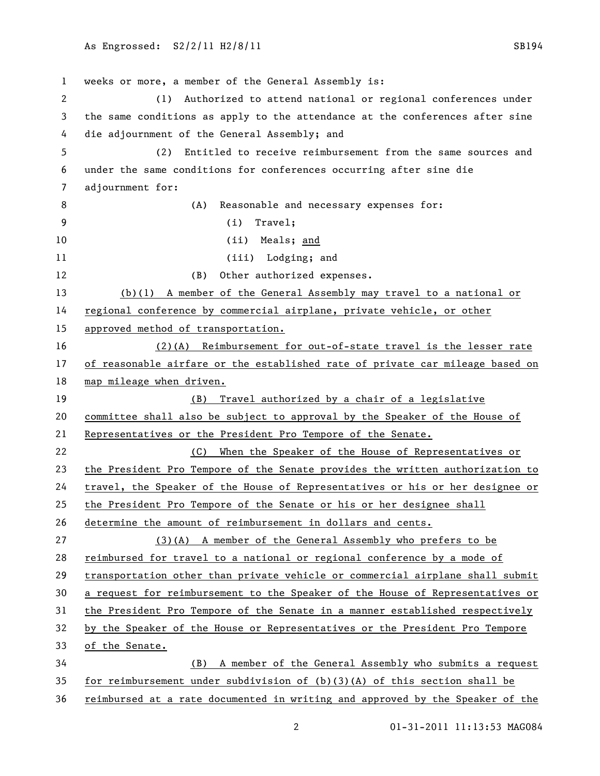weeks or more, a member of the General Assembly is: (1) Authorized to attend national or regional conferences under the same conditions as apply to the attendance at the conferences after sine die adjournment of the General Assembly; and (2) Entitled to receive reimbursement from the same sources and under the same conditions for conferences occurring after sine die adjournment for: 8 (A) Reasonable and necessary expenses for: (i) Travel; 10 (ii) Meals; and 11 (iii) Lodging; and 12 (B) Other authorized expenses. (b)(1) A member of the General Assembly may travel to a national or regional conference by commercial airplane, private vehicle, or other approved method of transportation. (2)(A) Reimbursement for out-of-state travel is the lesser rate 17 of reasonable airfare or the established rate of private car mileage based on map mileage when driven. (B) Travel authorized by a chair of a legislative committee shall also be subject to approval by the Speaker of the House of Representatives or the President Pro Tempore of the Senate. (C) When the Speaker of the House of Representatives or the President Pro Tempore of the Senate provides the written authorization to travel, the Speaker of the House of Representatives or his or her designee or the President Pro Tempore of the Senate or his or her designee shall determine the amount of reimbursement in dollars and cents. (3)(A) A member of the General Assembly who prefers to be reimbursed for travel to a national or regional conference by a mode of transportation other than private vehicle or commercial airplane shall submit a request for reimbursement to the Speaker of the House of Representatives or the President Pro Tempore of the Senate in a manner established respectively by the Speaker of the House or Representatives or the President Pro Tempore of the Senate. (B) A member of the General Assembly who submits a request for reimbursement under subdivision of (b)(3)(A) of this section shall be

01-31-2011 11:13:53 MAG084